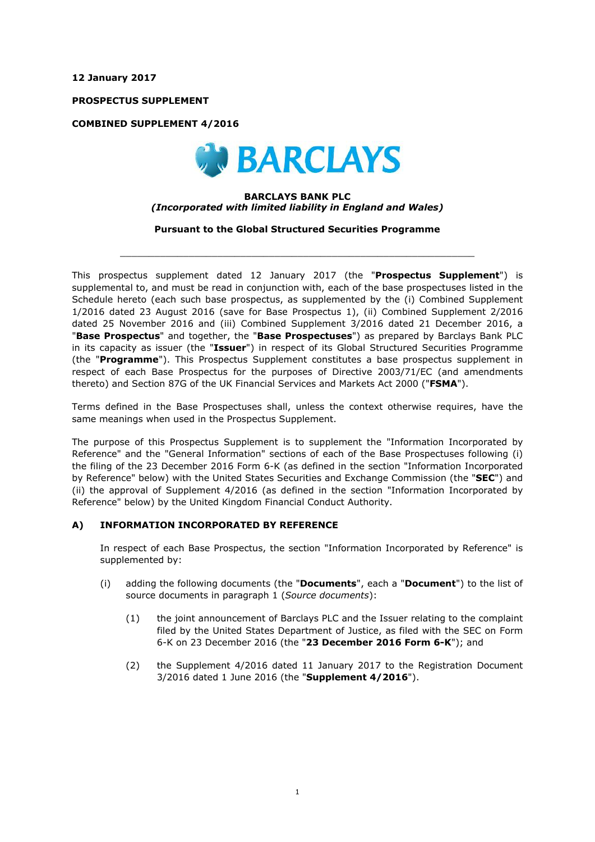**12 January 2017**

**PROSPECTUS SUPPLEMENT**

**COMBINED SUPPLEMENT 4/2016**



#### **BARCLAYS BANK PLC** *(Incorporated with limited liability in England and Wales)*

**Pursuant to the Global Structured Securities Programme**

 $\_$  ,  $\_$  ,  $\_$  ,  $\_$  ,  $\_$  ,  $\_$  ,  $\_$  ,  $\_$  ,  $\_$  ,  $\_$  ,  $\_$  ,  $\_$  ,  $\_$  ,  $\_$  ,  $\_$  ,  $\_$  ,  $\_$  ,  $\_$  ,  $\_$  ,  $\_$  ,  $\_$  ,  $\_$  ,  $\_$  ,  $\_$  ,  $\_$  ,  $\_$  ,  $\_$  ,  $\_$  ,  $\_$  ,  $\_$  ,  $\_$  ,  $\_$  ,  $\_$  ,  $\_$  ,  $\_$  ,  $\_$  ,  $\_$  ,

This prospectus supplement dated 12 January 2017 (the "**Prospectus Supplement**") is supplemental to, and must be read in conjunction with, each of the base prospectuses listed in the Schedule hereto (each such base prospectus, as supplemented by the (i) Combined Supplement 1/2016 dated 23 August 2016 (save for Base Prospectus 1), (ii) Combined Supplement 2/2016 dated 25 November 2016 and (iii) Combined Supplement 3/2016 dated 21 December 2016, a "**Base Prospectus**" and together, the "**Base Prospectuses**") as prepared by Barclays Bank PLC in its capacity as issuer (the "**Issuer**") in respect of its Global Structured Securities Programme (the "**Programme**"). This Prospectus Supplement constitutes a base prospectus supplement in respect of each Base Prospectus for the purposes of Directive 2003/71/EC (and amendments thereto) and Section 87G of the UK Financial Services and Markets Act 2000 ("**FSMA**").

Terms defined in the Base Prospectuses shall, unless the context otherwise requires, have the same meanings when used in the Prospectus Supplement.

The purpose of this Prospectus Supplement is to supplement the "Information Incorporated by Reference" and the "General Information" sections of each of the Base Prospectuses following (i) the filing of the 23 December 2016 Form 6-K (as defined in the section "Information Incorporated by Reference" below) with the United States Securities and Exchange Commission (the "**SEC**") and (ii) the approval of Supplement 4/2016 (as defined in the section "Information Incorporated by Reference" below) by the United Kingdom Financial Conduct Authority.

## **A) INFORMATION INCORPORATED BY REFERENCE**

In respect of each Base Prospectus, the section "Information Incorporated by Reference" is supplemented by:

- (i) adding the following documents (the "**Documents**", each a "**Document**") to the list of source documents in paragraph 1 (*Source documents*):
	- (1) the joint announcement of Barclays PLC and the Issuer relating to the complaint filed by the United States Department of Justice, as filed with the SEC on Form 6-K on 23 December 2016 (the "**23 December 2016 Form 6-K**"); and
	- (2) the Supplement 4/2016 dated 11 January 2017 to the Registration Document 3/2016 dated 1 June 2016 (the "**Supplement 4/2016**").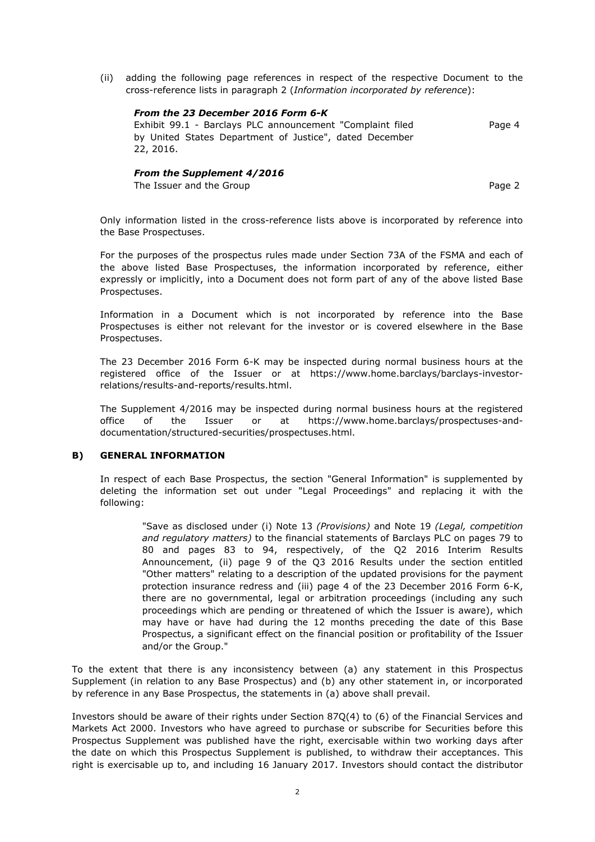(ii) adding the following page references in respect of the respective Document to the cross-reference lists in paragraph 2 (*Information incorporated by reference*):

## *From the 23 December 2016 Form 6-K*

Exhibit 99.1 - Barclays PLC announcement "Complaint filed by United States Department of Justice", dated December 22, 2016. Page 4

# *From the Supplement 4/2016*

The Issuer and the Group **Page 2** and the Group **Page 2** and the Group **Page 2** and the Page 2

Only information listed in the cross-reference lists above is incorporated by reference into the Base Prospectuses.

For the purposes of the prospectus rules made under Section 73A of the FSMA and each of the above listed Base Prospectuses, the information incorporated by reference, either expressly or implicitly, into a Document does not form part of any of the above listed Base Prospectuses.

Information in a Document which is not incorporated by reference into the Base Prospectuses is either not relevant for the investor or is covered elsewhere in the Base Prospectuses.

The 23 December 2016 Form 6-K may be inspected during normal business hours at the registered office of the Issuer or at https://www.home.barclays/barclays-investorrelations/results-and-reports/results.html.

The Supplement 4/2016 may be inspected during normal business hours at the registered office of the Issuer or at https://www.home.barclays/prospectuses-anddocumentation/structured-securities/prospectuses.html.

## **B) GENERAL INFORMATION**

In respect of each Base Prospectus, the section "General Information" is supplemented by deleting the information set out under "Legal Proceedings" and replacing it with the following:

"Save as disclosed under (i) Note 13 *(Provisions)* and Note 19 *(Legal, competition and regulatory matters)* to the financial statements of Barclays PLC on pages 79 to 80 and pages 83 to 94, respectively, of the Q2 2016 Interim Results Announcement, (ii) page 9 of the Q3 2016 Results under the section entitled "Other matters" relating to a description of the updated provisions for the payment protection insurance redress and (iii) page 4 of the 23 December 2016 Form 6-K, there are no governmental, legal or arbitration proceedings (including any such proceedings which are pending or threatened of which the Issuer is aware), which may have or have had during the 12 months preceding the date of this Base Prospectus, a significant effect on the financial position or profitability of the Issuer and/or the Group."

To the extent that there is any inconsistency between (a) any statement in this Prospectus Supplement (in relation to any Base Prospectus) and (b) any other statement in, or incorporated by reference in any Base Prospectus, the statements in (a) above shall prevail.

Investors should be aware of their rights under Section 87Q(4) to (6) of the Financial Services and Markets Act 2000. Investors who have agreed to purchase or subscribe for Securities before this Prospectus Supplement was published have the right, exercisable within two working days after the date on which this Prospectus Supplement is published, to withdraw their acceptances. This right is exercisable up to, and including 16 January 2017. Investors should contact the distributor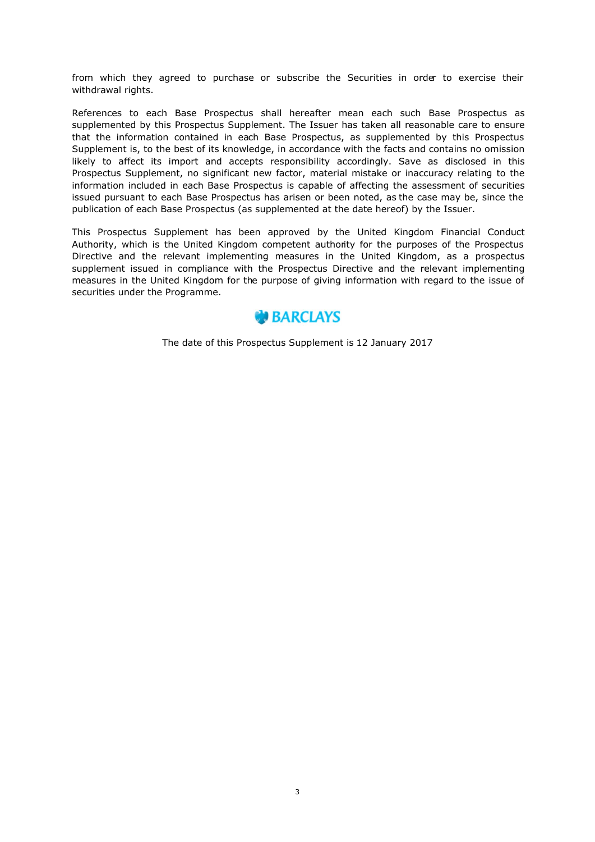from which they agreed to purchase or subscribe the Securities in order to exercise their withdrawal rights.

References to each Base Prospectus shall hereafter mean each such Base Prospectus as supplemented by this Prospectus Supplement. The Issuer has taken all reasonable care to ensure that the information contained in each Base Prospectus, as supplemented by this Prospectus Supplement is, to the best of its knowledge, in accordance with the facts and contains no omission likely to affect its import and accepts responsibility accordingly. Save as disclosed in this Prospectus Supplement, no significant new factor, material mistake or inaccuracy relating to the information included in each Base Prospectus is capable of affecting the assessment of securities issued pursuant to each Base Prospectus has arisen or been noted, as the case may be, since the publication of each Base Prospectus (as supplemented at the date hereof) by the Issuer.

This Prospectus Supplement has been approved by the United Kingdom Financial Conduct Authority, which is the United Kingdom competent authority for the purposes of the Prospectus Directive and the relevant implementing measures in the United Kingdom, as a prospectus supplement issued in compliance with the Prospectus Directive and the relevant implementing measures in the United Kingdom for the purpose of giving information with regard to the issue of securities under the Programme.



The date of this Prospectus Supplement is 12 January 2017